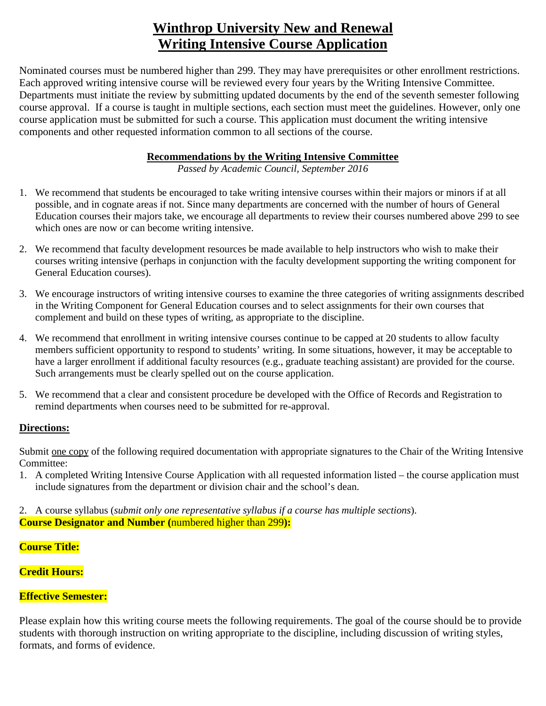# **Winthrop University New and Renewal Writing Intensive Course Application**

Nominated courses must be numbered higher than 299. They may have prerequisites or other enrollment restrictions. Each approved writing intensive course will be reviewed every four years by the Writing Intensive Committee. Departments must initiate the review by submitting updated documents by the end of the seventh semester following course approval. If a course is taught in multiple sections, each section must meet the guidelines. However, only one course application must be submitted for such a course. This application must document the writing intensive components and other requested information common to all sections of the course.

### **Recommendations by the Writing Intensive Committee**

*Passed by Academic Council, September 2016* 

- 1. We recommend that students be encouraged to take writing intensive courses within their majors or minors if at all possible, and in cognate areas if not. Since many departments are concerned with the number of hours of General Education courses their majors take, we encourage all departments to review their courses numbered above 299 to see which ones are now or can become writing intensive.
- 2. We recommend that faculty development resources be made available to help instructors who wish to make their courses writing intensive (perhaps in conjunction with the faculty development supporting the writing component for General Education courses).
- 3. We encourage instructors of writing intensive courses to examine the three categories of writing assignments described in the Writing Component for General Education courses and to select assignments for their own courses that complement and build on these types of writing, as appropriate to the discipline.
- 4. We recommend that enrollment in writing intensive courses continue to be capped at 20 students to allow faculty members sufficient opportunity to respond to students' writing. In some situations, however, it may be acceptable to have a larger enrollment if additional faculty resources (e.g., graduate teaching assistant) are provided for the course. Such arrangements must be clearly spelled out on the course application.
- 5. We recommend that a clear and consistent procedure be developed with the Office of Records and Registration to remind departments when courses need to be submitted for re-approval.

#### **Directions:**

Submit one copy of the following required documentation with appropriate signatures to the Chair of the Writing Intensive Committee:

1. A completed Writing Intensive Course Application with all requested information listed – the course application must include signatures from the department or division chair and the school's dean.

2. A course syllabus (*submit only one representative syllabus if a course has multiple sections*). **Course Designator and Number (**numbered higher than 299**):**

**Course Title:**

**Credit Hours:**

## **Effective Semester:**

Please explain how this writing course meets the following requirements. The goal of the course should be to provide students with thorough instruction on writing appropriate to the discipline, including discussion of writing styles, formats, and forms of evidence.